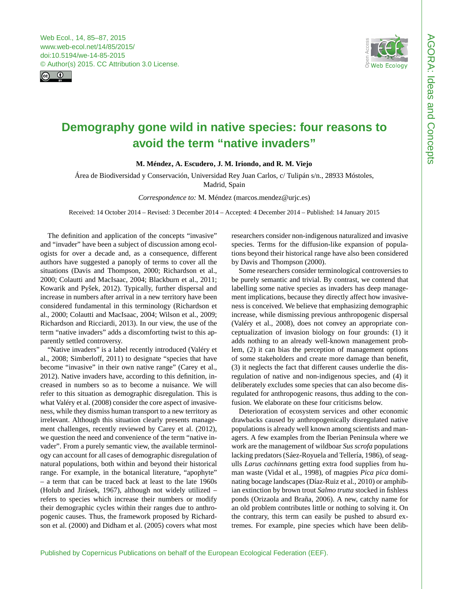<span id="page-0-0"></span>



## **Demography gone wild in native species: four reasons to avoid the term "native invaders"**

**M. Méndez, A. Escudero, J. M. Iriondo, and R. M. Viejo**

Área de Biodiversidad y Conservación, Universidad Rey Juan Carlos, c/ Tulipán s/n., 28933 Móstoles, Madrid, Spain

*Correspondence to:* M. Méndez (marcos.mendez@urjc.es)

Received: 14 October 2014 – Revised: 3 December 2014 – Accepted: 4 December 2014 – Published: 14 January 2015

The definition and application of the concepts "invasive" and "invader" have been a subject of discussion among ecologists for over a decade and, as a consequence, different authors have suggested a panoply of terms to cover all the situations (Davis and Thompson, 2000; Richardson et al., 2000; Colautti and MacIsaac, 2004; Blackburn et al., 2011; Kowarik and Pyšek, 2012). Typically, further dispersal and increase in numbers after arrival in a new territory have been considered fundamental in this terminology (Richardson et al., 2000; Colautti and MacIsaac, 2004; Wilson et al., 2009; Richardson and Ricciardi, 2013). In our view, the use of the term "native invaders" adds a discomforting twist to this apparently settled controversy.

"Native invaders" is a label recently introduced (Valéry et al., 2008; Simberloff, 2011) to designate "species that have become "invasive" in their own native range" (Carey et al., 2012). Native invaders have, according to this definition, increased in numbers so as to become a nuisance. We will refer to this situation as demographic disregulation. This is what Valéry et al. (2008) consider the core aspect of invasiveness, while they dismiss human transport to a new territory as irrelevant. Although this situation clearly presents management challenges, recently reviewed by Carey et al. (2012), we question the need and convenience of the term "native invader". From a purely semantic view, the available terminology can account for all cases of demographic disregulation of natural populations, both within and beyond their historical range. For example, in the botanical literature, "apophyte" – a term that can be traced back at least to the late 1960s (Holub and Jirásek, 1967), although not widely utilized – refers to species which increase their numbers or modify their demographic cycles within their ranges due to anthropogenic causes. Thus, the framework proposed by Richardson et al. (2000) and Didham et al. (2005) covers what most

researchers consider non-indigenous naturalized and invasive species. Terms for the diffusion-like expansion of populations beyond their historical range have also been considered by Davis and Thompson (2000).

Some researchers consider terminological controversies to be purely semantic and trivial. By contrast, we contend that labelling some native species as invaders has deep management implications, because they directly affect how invasiveness is conceived. We believe that emphasizing demographic increase, while dismissing previous anthropogenic dispersal (Valéry et al., 2008), does not convey an appropriate conceptualization of invasion biology on four grounds: (1) it adds nothing to an already well-known management problem, (2) it can bias the perception of management options of some stakeholders and create more damage than benefit, (3) it neglects the fact that different causes underlie the disregulation of native and non-indigenous species, and (4) it deliberately excludes some species that can also become disregulated for anthropogenic reasons, thus adding to the confusion. We elaborate on these four criticisms below.

Deterioration of ecosystem services and other economic drawbacks caused by anthropogenically disregulated native populations is already well known among scientists and managers. A few examples from the Iberian Peninsula where we work are the management of wildboar *Sus scrofa* populations lacking predators (Sáez-Royuela and Tellería, 1986), of seagulls *Larus cachinnans* getting extra food supplies from human waste (Vidal et al., 1998), of magpies *Pica pica* dominating bocage landscapes (Díaz-Ruiz et al., 2010) or amphibian extinction by brown trout *Salmo trutta* stocked in fishless ponds (Orizaola and Braña, 2006). A new, catchy name for an old problem contributes little or nothing to solving it. On the contrary, this term can easily be pushed to absurd extremes. For example, pine species which have been delib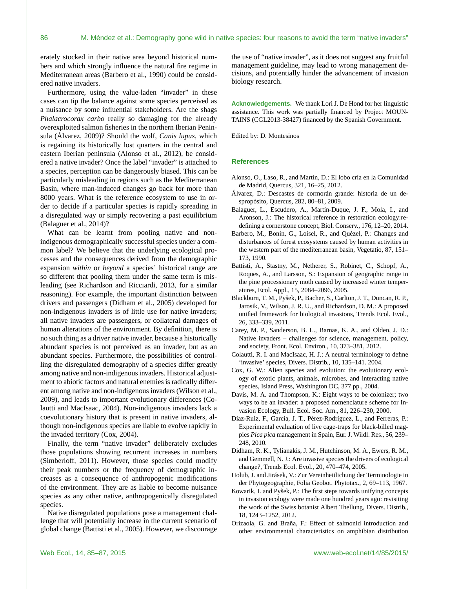erately stocked in their native area beyond historical numbers and which strongly influence the natural fire regime in Mediterranean areas (Barbero et al., 1990) could be considered native invaders.

Furthermore, using the value-laden "invader" in these cases can tip the balance against some species perceived as a nuisance by some influential stakeholders. Are the shags *Phalacrocorax carbo* really so damaging for the already overexploited salmon fisheries in the northern Iberian Peninsula (Álvarez, 2009)? Should the wolf, *Canis lupus*, which is regaining its historically lost quarters in the central and eastern Iberian peninsula (Alonso et al., 2012), be considered a native invader? Once the label "invader" is attached to a species, perception can be dangerously biased. This can be particularly misleading in regions such as the Mediterranean Basin, where man-induced changes go back for more than 8000 years. What is the reference ecosystem to use in order to decide if a particular species is rapidly spreading in a disregulated way or simply recovering a past equilibrium (Balaguer et al., 2014)?

What can be learnt from pooling native and nonindigenous demographically successful species under a common label? We believe that the underlying ecological processes and the consequences derived from the demographic expansion *within* or *beyond* a species' historical range are so different that pooling them under the same term is misleading (see Richardson and Ricciardi, 2013, for a similar reasoning). For example, the important distinction between drivers and passengers (Didham et al., 2005) developed for non-indigenous invaders is of little use for native invaders; all native invaders are passengers, or collateral damages of human alterations of the environment. By definition, there is no such thing as a driver native invader, because a historically abundant species is not perceived as an invader, but as an abundant species. Furthermore, the possibilities of controlling the disregulated demography of a species differ greatly among native and non-indigenous invaders. Historical adjustment to abiotic factors and natural enemies is radically different among native and non-indigenous invaders (Wilson et al., 2009), and leads to important evolutionary differences (Colautti and MacIsaac, 2004). Non-indigenous invaders lack a coevolutionary history that is present in native invaders, although non-indigenous species are liable to evolve rapidly in the invaded territory (Cox, 2004).

Finally, the term "native invader" deliberately excludes those populations showing recurrent increases in numbers (Simberloff, 2011). However, those species could modify their peak numbers or the frequency of demographic increases as a consequence of anthropogenic modifications of the environment. They are as liable to become nuisance species as any other native, anthropogenically disregulated species.

Native disregulated populations pose a management challenge that will potentially increase in the current scenario of global change (Battisti et al., 2005). However, we discourage

the use of "native invader", as it does not suggest any fruitful management guideline, may lead to wrong management decisions, and potentially hinder the advancement of invasion biology research.

**Acknowledgements.** We thank Lori J. De Hond for her linguistic assistance. This work was partially financed by Project MOUN-TAINS (CGL2013-38427) financed by the Spanish Government.

Edited by: D. Montesinos

## **References**

- Alonso, O., Laso, R., and Martín, D.: El lobo cría en la Comunidad de Madrid, Quercus, 321, 16–25, 2012.
- Álvarez, D.: Descastes de cormorán grande: historia de un despropósito, Quercus, 282, 80–81, 2009.
- Balaguer, L., Escudero, A., Martín-Duque, J. F., Mola, I., and Aronson, J.: The historical reference in restoration ecology:redefining a cornerstone concept, Biol. Conserv., 176, 12–20, 2014.
- Barbero, M., Bonin, G., Loisel, R., and Quézel, P.: Changes and disturbances of forest ecosystems caused by human activities in the western part of the mediterranean basin, Vegetatio, 87, 151– 173, 1990.
- Battisti, A., Stastny, M., Netherer, S., Robinet, C., Schopf, A., Roques, A., and Larsson, S.: Expansion of geographic range in the pine processionary moth caused by increased winter temperatures, Ecol. Appl., 15, 2084–2096, 2005.
- Blackburn, T. M., Pyšek, P., Bacher, S., Carlton, J. T., Duncan, R. P., Jarosik, V., Wilson, J. R. U., and Richardson, D. M.: A proposed unified framework for biological invasions, Trends Ecol. Evol., 26, 333–339, 2011.
- Carey, M. P., Sanderson, B. L., Barnas, K. A., and Olden, J. D.: Native invaders – challenges for science, management, policy, and society, Front. Ecol. Environ., 10, 373–381, 2012.
- Colautti, R. I. and MacIsaac, H. J.: A neutral terminology to define 'invasive' species, Divers. Distrib., 10, 135–141. 2004.
- Cox, G. W.: Alien species and evolution: the evolutionary ecology of exotic plants, animals, microbes, and interacting native species, Island Press, Washington DC, 377 pp., 2004.
- Davis, M. A. and Thompson, K.: Eight ways to be colonizer; two ways to be an invader: a proposed nomenclature scheme for Invasion Ecology, Bull. Ecol. Soc. Am., 81, 226–230, 2000.
- Díaz-Ruiz, F., García, J. T., Pérez-Rodríguez, L., and Ferreras, P.: Experimental evaluation of live cage-traps for black-billed magpies *Pica pica* management in Spain, Eur. J. Wildl. Res., 56, 239– 248, 2010.
- Didham, R. K., Tylianakis, J. M., Hutchinson, M. A., Ewers, R. M., and Gemmell, N. J.: Are invasive species the drivers of ecological change?, Trends Ecol. Evol., 20, 470–474, 2005.
- Holub, J. and Jirásek, V.: Zur Vereinheitlichung der Terminologie in der Phytogeographie, Folia Geobot. Phytotax., 2, 69–113, 1967.
- Kowarik, I. and Pyšek, P.: The first steps towards unifying concepts in invasion ecology were made one hundred years ago: revisiting the work of the Swiss botanist Albert Thellung, Divers. Distrib., 18, 1243–1252, 2012.
- Orizaola, G. and Braña, F.: Effect of salmonid introduction and other environmental characteristics on amphibian distribution